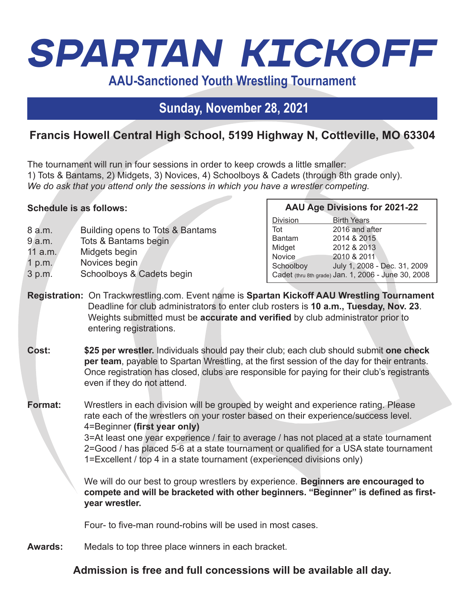# *Spartan Kickoff*

**AAU-Sanctioned Youth Wrestling Tournament**

## **Sunday, November 28, 2021**

## **Francis Howell Central High School, 5199 Highway N, Cottleville, MO 63304**

The tournament will run in four sessions in order to keep crowds a little smaller: 1) Tots & Bantams, 2) Midgets, 3) Novices, 4) Schoolboys & Cadets (through 8th grade only). *We do ask that you attend only the sessions in which you have a wrestler competing.*

#### **Schedule is as follows:**

- 8 a.m. Building opens to Tots & Bantams 9 a.m. Tots & Bantams begin 11 a.m. Midgets begin
- 1 p.m. Novices begin
- 
- 3 p.m. Schoolboys & Cadets begin

#### **AAU Age Divisions for 2021-22**

| Division                                            | <b>Birth Years</b>           |
|-----------------------------------------------------|------------------------------|
| Tot                                                 | 2016 and after               |
| Bantam                                              | 2014 & 2015                  |
| Midget                                              | 2012 & 2013                  |
| Novice                                              | 2010 & 2011                  |
| Schoolboy                                           | July 1, 2008 - Dec. 31, 2009 |
| Cadet (thru 8th grade) Jan. 1, 2006 - June 30, 2008 |                              |

- **Registration:** On Trackwrestling.com. Event name is **Spartan Kickoff AAU Wrestling Tournament**  Deadline for club administrators to enter club rosters is **10 a.m., Tuesday, Nov. 23**. Weights submitted must be **accurate and verified** by club administrator prior to entering registrations.
- **Cost: \$25 per wrestler.** Individuals should pay their club; each club should submit **one check per team**, payable to Spartan Wrestling, at the first session of the day for their entrants. Once registration has closed, clubs are responsible for paying for their club's registrants even if they do not attend.

**Format:** Wrestlers in each division will be grouped by weight and experience rating. Please rate each of the wrestlers on your roster based on their experience/success level. 4=Beginner **(first year only)** 3=At least one year experience / fair to average / has not placed at a state tournament 2=Good / has placed 5-6 at a state tournament or qualified for a USA state tournament 1=Excellent / top 4 in a state tournament (experienced divisions only)

> We will do our best to group wrestlers by experience. **Beginners are encouraged to compete and will be bracketed with other beginners. "Beginner" is defined as firstyear wrestler.**

Four- to five-man round-robins will be used in most cases.

**Awards:** Medals to top three place winners in each bracket.

### **Admission is free and full concessions will be available all day.**